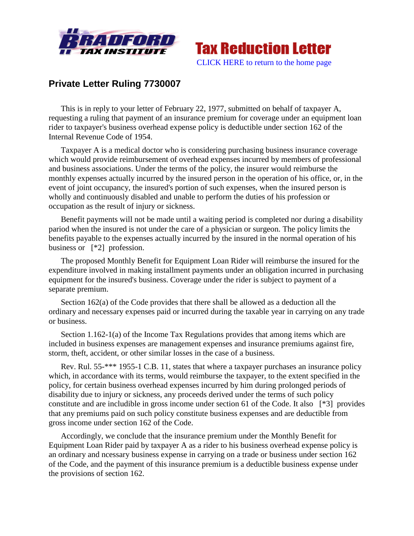



## **Private Letter Ruling 7730007**

This is in reply to your letter of February 22, 1977, submitted on behalf of taxpayer A, requesting a ruling that payment of an insurance premium for coverage under an equipment loan rider to taxpayer's business overhead expense policy is deductible under section 162 of the Internal Revenue Code of 1954.

Taxpayer A is a medical doctor who is considering purchasing business insurance coverage which would provide reimbursement of overhead expenses incurred by members of professional and business associations. Under the terms of the policy, the insurer would reimburse the monthly expenses actually incurred by the insured person in the operation of his office, or, in the event of joint occupancy, the insured's portion of such expenses, when the insured person is wholly and continuously disabled and unable to perform the duties of his profession or occupation as the result of injury or sickness.

Benefit payments will not be made until a waiting period is completed nor during a disability pariod when the insured is not under the care of a physician or surgeon. The policy limits the benefits payable to the expenses actually incurred by the insured in the normal operation of his business or [\*2] profession.

The proposed Monthly Benefit for Equipment Loan Rider will reimburse the insured for the expenditure involved in making installment payments under an obligation incurred in purchasing equipment for the insured's business. Coverage under the rider is subject to payment of a separate premium.

Section 162(a) of the Code provides that there shall be allowed as a deduction all the ordinary and necessary expenses paid or incurred during the taxable year in carrying on any trade or business.

Section 1.162-1(a) of the Income Tax Regulations provides that among items which are included in business expenses are management expenses and insurance premiums against fire, storm, theft, accident, or other similar losses in the case of a business.

Rev. Rul. 55-\*\*\* 1955-1 C.B. 11, states that where a taxpayer purchases an insurance policy which, in accordance with its terms, would reimburse the taxpayer, to the extent specified in the policy, for certain business overhead expenses incurred by him during prolonged periods of disability due to injury or sickness, any proceeds derived under the terms of such policy constitute and are includible in gross income under section 61 of the Code. It also [\*3] provides that any premiums paid on such policy constitute business expenses and are deductible from gross income under section 162 of the Code.

Accordingly, we conclude that the insurance premium under the Monthly Benefit for Equipment Loan Rider paid by taxpayer A as a rider to his business overhead expense policy is an ordinary and ncessary business expense in carrying on a trade or business under section 162 of the Code, and the payment of this insurance premium is a deductible business expense under the provisions of section 162.